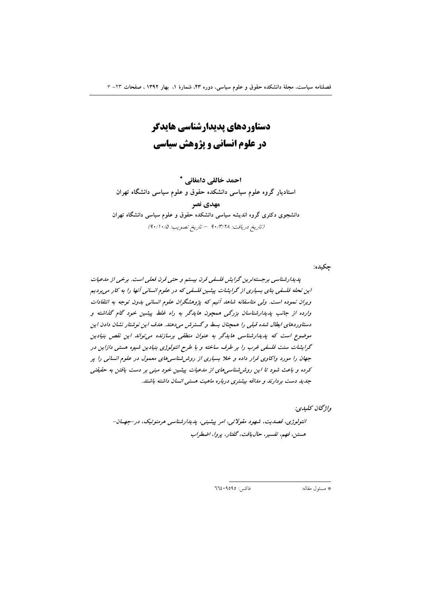دستاوردهای پدیدارشناسی هایدگر در علوم انسانی و پژوهش سیاسی

احمد خالقي دامغاني \* استادیار گروه علوم سیاسی دانشکده حقوق و علوم سیاسی دانشگاه تهران مهدي نصر دانشجوی دکتری گروه اندیشه سیاسی دانشکده حقوق و علوم سیاسی دانشگاه تهران (تاريخ دريافت: ٩٠/٣/٢٨ - تاريخ تصويب: ٥٠/١٠/٥)

چکیده:

پدیدارشناسی برجسته ترین گرایش فلسفی قرن بیستم و حتی قرن فعلی است. برخی از مدعیات این نحله فلسفی بنای بسیاری از گرایشات پیشین فلسفی که در علوم انسانی آنها را به کار می بردیم ویران نموده است. ولی متاسفانه شاهد آنیم که پژوهشگران علوم انسانی بدون توجه به انتقادات وارده از جانب پدیدارشناسان بزرگی همچون هایدگر به راه غلط پیشین خود گام گذاشته و دستاوردهای ابطال شده قبلی را همچنان بسط و گسترش میدهند. هدف این نوشتار نشان دادن این موضوع است که پدیدارشناسی هایدگر به عنوان منطقی برسازنده می تواند این نقص بنیادین گرایشات سنت فلسفی غرب را بر طرف ساخته و با طرح انتولوژی بنیادین شیوه هستی دازاین در جهان را مورد واکاوی قرار داده و خلا بسیاری از روش شناسی های معمول در علوم انسانی را پر کرده و باعث شود تا این روش شناسی های از مدعیات پیشین خود مبنی بر دست یافتن به حقیقتی جدید دست بردارند و مداقه بیشتری درباره ماهیت هستی انسان داشته باشند.

واۋىچان ئىلىدى:

انتولوژی، قصدیت، شهود مقولاتی، امر پیشینی، پدیدارشناسی هرمنوتیک، در -جهان-هستين، فهم، تفسير، حال يافت، گفتار، پروا، اضطراب

 $772.9090:12$ فاكس

\* مسئول مقاله: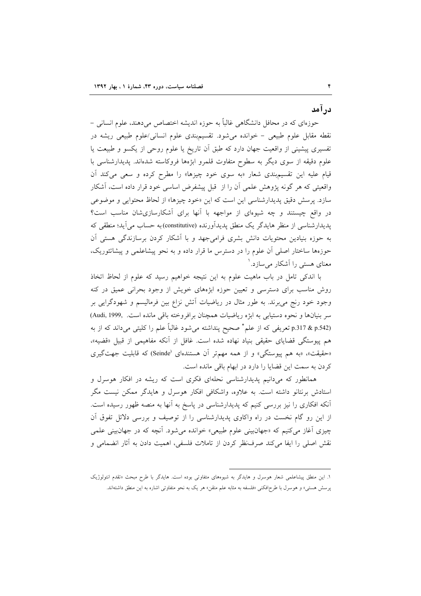درآمد

حوزهای که در محافل دانشگاهی غالباً به حوزه اندیشه اختصاص میدهند، علوم انسانی – نقطه مقابل علوم طبیعی - خوانده میشود. تقسیم بندی علوم انسانی/علوم طبیعی ریشه در تفسیری پیشینی از واقعیت جهان دارد که طبق آن تاریخ یا علوم روحی از یکسو و طبیعت یا علوم دقیقه از سوی دیگر به سطوح متفاوت قلمرو ابژهها فروکاسته شدهاند. پدیدارشناسی با قیام علیه این تقسیمبندی شعار «به سوی خود چیزها» را مطرح کرده و سعی میکند آن واقعیتی که هر گونه پژوهش علمی آن را از ً قبل پیشفرض اساسی خود قرار داده است، آشکار سازد. پرسش دقیق پدیدارشناسی این است که این «خود چیزها» از لحاظ محتوایی و موضوعی در واقع چیستند و چه شیوهای از مواجهه با آنها برای آشکارسازیشان مناسب است؟ پدیدارشناسی از منظر هایدگر یک منطق پدیدآورنده (constitutive)به حساب می آید؛ منطقی که به حوزه بنیادین محتویات دانش بشری فرامیجهد و با آشکار کردن برسازندگی هستی آن حوزهها ساختار اصلی آن علوم را در دسترس ما قرار داده و به نحو پیشاعلمی و پیشاتئوریک، معنای هستی را آشکار می سازد. ۱

با اندکی تامل در باب ماهیت علوم به این نتیجه خواهیم رسید که علوم از لحاظ اتخاذ روش مناسب برای دسترسی و تعیین حوزه ابژههای خویش از وجود بحرانی عمیق در کنه وجود خود رنج می برند. به طور مثال در ریاضیات آتش نزاع بین فرمالیسم و شهودگرایی بر سر بنیانها و نحوه دستیابی به ابژه ریاضیات همچنان برافروخته باقی مانده است. ,Audi, 1999) p.317 & p.542) تعریفی که از علم ْ صحیح پنداشته میشود غالباً علم را کلیتی میداند که از به هم پیوستگی قضایای حقیقی بنیاد نهاده شده است. غافل از آنکه مفاهیمی از قبیل «قضیه»، «حقیقت»، «به هم پیوستگی» و از همه مهمتر آن هستندهای (Seinde) که قابلیت جهت گیری كردن به سمت اين قضايا را دارد در ابهام باقي مانده است.

همانطور که میدانیم پدیدارشناسی نحلهای فکری است که ریشه در افکار هوسرل و استادش برنتانو داشته است. به علاوه، واشکافی افکار هوسرل و هایدگر ممکن نیست مگر آنکه افکاری را نیز بررسی کنیم که پدیدارشناسی در پاسخ به آنها به منصه ظهور رسیده است. از این رو گام نخست در راه واکاوی پدیدارشناسی را از توصیف و بررسی دلائل تفوق آن چیزی آغاز میکنیم که «جهانبینی علوم طبیعی» خوانده میشود. آنچه که در جهانبینی علمی نقش اصلی را ایفا می کند صرف نظر کردن از تاملات فلسفی، اهمیت دادن به آثار انضمامی و

١. این منطق پیشاعلمی شعار هوسرل و هایدگر به شیوههای متفاوتی بوده است. هایدگر با طرح مبحث «تقدم انتولوژیک پرسش هستی» و هوسرل با طرحِافکنی «فلسفه به مثابه علم متقن» هر یک به نحو متفاوتی اشاره به این منطق داشتهاند.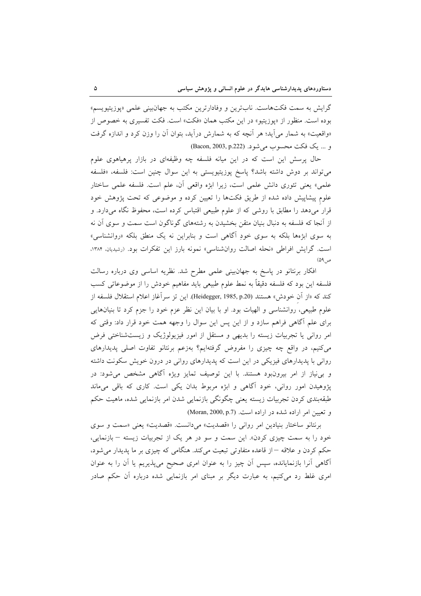گرایش به سمت فکتهاست. نابترین و وفادارترین مکتب به جهانبینی علمی «پوزیتیویسم» بوده است. منظور از «پوزیتیو» در این مکتب همان «فکت» است. فکت تفسیری به خصوص از «واقعیت» به شمار می[ید؛ هر أنچه که به شمارش درأید، بتوان أن را وزن کرد و اندازه گرفت و ... يك فكت محسوب مي شود. (Bacon, 2003, p.222)

حال پرسش این است که در این میانه فلسفه چه وظیفهای در بازار پرهیاهوی علوم میتواند بر دوش داشته باشد؟ پاسخ پوزیتیویستی به این سوال چنین است: فلسفه، «فلسفه علمي» يعني تئوري دانش علمي است، زيرا ابژه واقعي أن، علم است. فلسفه علمي ساختار علوم پیشاپیش داده شده از طریق فکتها را تعیین کرده و موضوعی که تحت پژوهش خود قرار میدهد را مطابق با روشی که از علوم طبیعی اقتباس کرده است، محفوظ نگاه میدارد. و از آنجا که فلسفه به دنبال بنیان متقن بخشیدن به رشتههای گوناگون است سمت و سوی آن نه به سوی ابژهها بلکه به سوی خودِ آگاهی است و بنابراین نه یک منطق بلکه «روانشناسی» است. گرایش افراطی «نحله اصالت روانشناسی» نمونه بارز این تفکرات بود. (رشیدیان، ۱۳۸۴،  $(09, 09)$ 

افکار برنتانو در پاسخ به جهانبینی علمی مطرح شد. نظریه اساسی وی درباره رسالت فلسفه این بود که فلسفه دقیقاً به نمط علوم طبیعی باید مفاهیم خودش را از موضوعاتی کسب كند كه «از أن خودش» هستند (Heidegger, 1985, p.20). اين تز سراًغاز اعلام استقلال فلسفه از علوم طبیعی، روانشناسی و الهیات بود. او با بیان این نظر عزم خود را جزم کرد تا بنیانهایی برای علم آگاهی فراهم سازد و از این پس این سوال را وجهه همت خود قرار داد: وقتی که امر روانی یا تجربیات زیسته را بدیهی و مستقل از امور فیزیولوژیک و زیستشناختی فرض می کنیم، در واقع چه چیزی را مفروض گرفتهایم؟ بهزعم برنتانو تفاوت اصلی پدیدارهای روانی با پدیدارهای فیزیکی در این است که پدیدارهای روانی در درون خویش سکونت داشته و بی نیاز از امر بیرونبود هستند. با این توصیف تمایز ویژه آگاهی مشخص میشود: در پژوهیدن امور روانی، خود آگاهی و ابژه مربوط بدان یکی است. کاری که باقی میماند طبقەبندى كردن تجربيات زيسته يعنى چگونگى بازنمايى شدن امر بازنمايى شده، ماهيت حكم و تعیین امر اراده شده در اراده است. (Moran, 2000, p.7)

برنتانو ساختار بنیادین امر روانی را «قصدیت» میدانست. «قصدیت» یعنی «سمت و سوی خود را به سمت چیزی کردن». این سمت و سو در هر یک از تجربیات زیسته - بازنمایی، حکم کردن و علاقه –از قاعده متفاوتی تبعیت میکند. هنگامی که چیزی بر ما پدیدار می شود، آگاهی آنرا بازنمایانده، سپس آن چیز را به عنوان امری صحیح میپذیریم یا آن را به عنوان امری غلط رد میکنیم، به عبارت دیگر بر مبنای امر بازنمایی شده درباره آن حکم صادر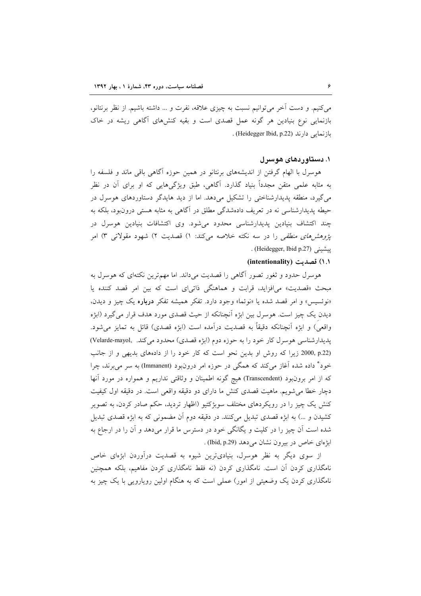می کنیم. و دست آخر می توانیم نسبت به چیزی علاقه، نفرت و … داشته باشیم. از نظر برنتانو، بازنمایی نوع بنیادین هر گونه عمل قصدی است و بقیه کنشهای آگاهی ریشه در خاک باز نمایی دارند (Heidegger Ibid, p.22) .

# ۱. دستاوردهای هوسرل

هوسرل با الهام گرفتن از اندیشههای برنتانو در همین حوزه آگاهی باقی ماند و فلسفه را به مثابه علمی متقن مجدداً بنیاد گذارد. آگاهی، طبق ویژگیهایی که او برای آن در نظر می گیرد، منطقه پدیدارشناختی را تشکیل میدهد. اما از دید هایدگر دستاوردهای هوسرل در حیطه پدیدارشناسی نه در تعریف دادهشدگی مطلق در آگاهی به مثابه هستی درون بود، بلکه به چند اکتشاف بنیادین پدیدارشناسی محدود میشود. وی اکتشافات بنیادین هوسرل در *پژوهشرهای منطقی* را در سه نکته خلاصه میکند: ۱) قصدیت ۲) شهود مقولات<sub>ی</sub> ۳) امر . (Heidegger, Ibid p.27)

## (١.١) قصديت (intentionality)

هوسرل حدود و ثغور تصور آگاهی را قصدیت میداند. اما مهم ترین نکتهای که هوسرل به مبحث «قصدیت» می|فزاید، قرابت و هماهنگی ذاتی|ی است که بین امر قصد کننده یا «نوئسيس» و امر قصد شده يا «نوئما» وجود دارد. تفكر هميشه تفكر درباره يك چيز و ديدن، دیدن یک چیز است. هوسرل بین ابژه آنچنانکه از حیث قصدی مورد هدف قرار می گیرد (ابژه واقعي) و ابژِه اَنچنانکه دقیقاً به قصدیت دراَمده است (ابژِه قصدی) قائل به تمایز می شود. پدیدارشناسی هوسرل کار خود را به حوزه دوم (ابژه قصدی) محدود می کند. (Velarde-mayol) (2000, p.22 زیرا که روش او بدین نحو است که کار خود را از دادههای بدیهی و از جانب خود° داده شده آغاز میکند که همگی در حوزه امر درونبود (Immanent) به سر می برند، چرا که از امر برونبود (Transcendent) هیچ گونه اطمینان و وثاقتی نداریم و همواره در مورد آنها دچار خطا می شویم. ماهیت قصدی کنش ما دارای دو دقیقه واقعی است. در دقیقه اول کیفیت کنش یک چیز را در رویکردهای مختلف سوبژکتیو (اظهار تردید، حکم صادر کردن، به تصویر کشیدن و …) به ابژه قصدی تبدیل میکنند. در دقیقه دوم آن مضمونی که به ابژه قصدی تبدیل شده است اَن چیز را در کلیت و یگانگی خود در دسترس ما قرار میدهد و اَن را در ارجاع به ابژهای خاص در بیرون نشان می دهد (Ibid, p.29) .

از سوی دیگر به نظر هوسرل، بنیادیترین شیوه به قصدیت درآوردن ابزمای خاص نامگذاری کردن آن است. نامگذاری کردن (نه فقط نامگذاری کردن مفاهیم، بلکه همچنین نامگذاری کردن یک وضعیتی از امور) عملی است که به هنگام اولین رویارویی با یک چیز به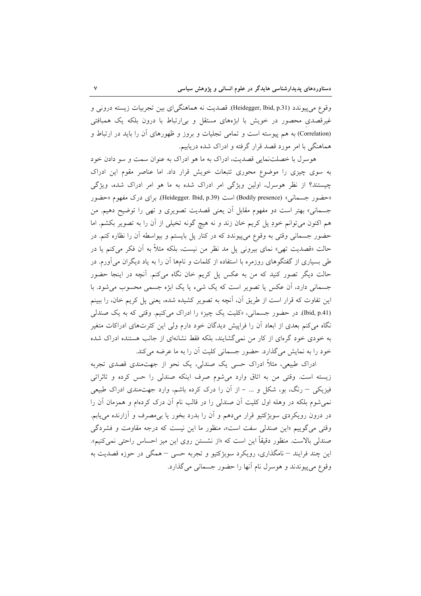وقوع مي پيوندد (Heidegger, Ibid, p.31). قصديت نه هماهنگي|ي بين تجربيات زيسته دروني و غیرقصدی محصور در خویش با ابژههای مستقل و بی|رتباط با درون بلکه یک همبافتی (Correlation) به هم پیوسته است و تمامی تجلیات و بروز و ظهورهای آن را باید در ارتباط و هماهنگی با امر مورد قصد قرار گرفته و ادراک شده دریابیم.

هوسرل با خصلتنمایی قصدیت، ادراک به ما هو ادراک به عنوان سمت و سو دادن خود به سوی چیزی را موضوع محوری تتبعات خویش قرار داد. اما عناصر مقوم این ادراک چیستند؟ از نظر هوسرل، اولین ویژگی امر ادراک شده به ما هو امر ادراک شده، ویژگی «حضور جسماني» (Bodily presence) است (Heidegger. Ibid, p.39). براي درك مفهوم «حضور جسمانی» بهتر است دو مفهوم مقابل أن يعني قصديت تصويري و تهي را توضيح دهيم. من هم اکنون میتوانم خودِ پل کریم خان زند و نه هیچ گونه تخیلی از آن را به تصویر بکشم. اما حضور جسمانی وقتی به وقوع می پیوندد که در کنار پل بایستم و بیواسطه آن را نظاره کنم. در حالت «قصدیت تھی» نمای بیرونی پل مد نظر من نیست، بلکه مثلاً به اَن فکر میکنم یا در طی بسیاری از گفتگوهای روزمره با استفاده از کلمات و نامها آن را به یاد دیگران میآورم. در حالت دیگر تصور کنید که من به عکس پل کریم خان نگاه میکنم. آنچه در اینجا حضور جسمانی دارد، آن عکس یا تصویر است که یک شیء یا یک ابژه جسمی محسوب میشود. با این تفاوت که قرار است از طریق اَن، اَنچه به تصویر کشیده شده، یعنی پل کریم خان، را ببینم (Ibid, p.41). در حضور جسمانی، «کلیت یک چیز» را ادراک میکنیم. وقتی که به یک صندلی نگاه میکنم بعدی از ابعاد اَن را فراپیش دیدگان خود دارم ولی این کثرتهای ادراکات متغیر به خودی خود گرمای از کار من نمیگشایند، بلکه فقط نشانهای از جانب هستنده ادراک شده خود را به نمایش میگذارد. حضور جسمانی کلیت آن را به ما عرضه میکند.

ادراک طبیعی، مثلاً ادراک حسی یک صندلی، یک نحو از جهتمندی قصدی تجربه زيسته است. وقتى من به اتاق وارد مى شوم صرف اينكه صندلى را حس كرده و تاثراتى فیزیکی – رنگ، بو، شکل و … – از آن را درک کرده باشم، وارد جهتمندی ادراک طبیعی نمی شوم بلکه در وهله اول کلیت آن صندلی را در قالب نام آن درک کردهام و همزمان آن را در درون رویکردی سوبژکتیو قرار می،دهم و آن را بدرد بخور یا بی،مصرف و آزارنده می،پابم. وقتی میگوییم «این صندلی سفت است»، منظور ما این نیست که درجه مقاومت و فشردگی صندلی بالاست. منظور دقیقاً این است که «از نشستن روی این میز احساس راحتی نمیکنیم». اين چند فرايند – نامگذاري، رويكرد سوېژكتيو و تجربه حسى – همگې در حوزه قصديت به وقوع مي پيوندند و هوسرل نام آنها را حضور جسماني مي گذارد.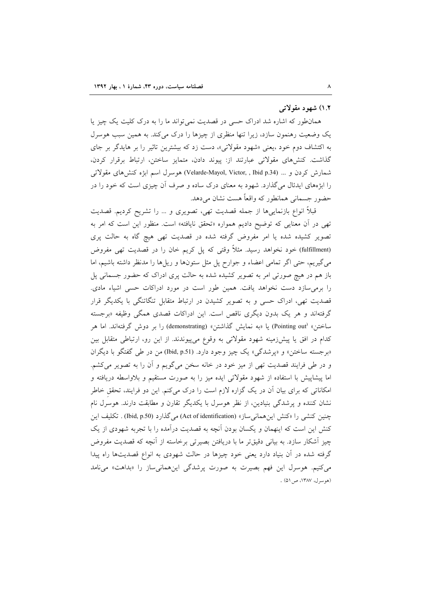## ۱.۲) شهود مقولاتی

همان طور که اشاره شد ادراک حسی در قصدیت نمی تواند ما را به درک کلیت یک چیز یا یک وضعیت رهنمون سازد، زیرا تنها منظری از چیزها را درک میکند. به همین سبب هوسرل به اکتشاف دوم خود ،یعنی «شهود مقولاتی»، دست زد که بیشترین تاثیر را بر هایدگر بر جای گذاشت. کنشهای مقولاتی عبارتند از: پیوند دادن، متمایز ساختن، ارتباط برقرار کردن، شمارش کردن و … (Velarde-Mayol, Victor, , Ibid p.34) هوسرل اسم ابژه کنش های مقولاتی را ابژههای ایدئال می گذارد. شهود به معنای درک ساده و صرف آن چیزی است که خود را در حضور جسمانی همانطور که واقعاً هست نشان می دهد.

قبلاً انواع بازنماییها از جمله قصدیت تهی، تصویری و … را تشریح کردیم. قصدیت تهی در آن معنایی که توضیح دادیم همواره «تحقق نایافته» است. منظور این است که امر به تصویر کشیده شده یا امر مفروض گرفته شده در قصدیت تهی هیچ گاه به حالت پری (fulfillment) خود نخواهد رسید. مثلاً وقتی که پل کریم خان را در قصدیت تهی مفروض می گیریم، حتی اگر تمامی اعضاء و جوارح پل مثل ستونها و ریلها را مدنظر داشته باشیم، اما باز هم در هیچ صورتی امر به تصویر کشیده شده به حالت پری ادراک که حضور جسمانی پل را برمیسازد دست نخواهد یافت. همین طور است در مورد ادراکات حسی اشیاء مادی. قصدیت تھی، ادراک حسی و به تصویر کشیدن در ارتباط متقابل تنگاتنگی با یکدیگر قرار گرفتهاند و هر یک بدون دیگری ناقص است. این ادراکات قصدی همگی وظیفه «برجسته ساختن» (Pointing out) یا «به نمایش گذاشتن» (demonstrating) را بر دوش گرفتهاند. اما هر کدام در افق یا پیشزرمینه شهود مقولاتی به وقوع میپیوندند. از این رو، ارتباطی متقابل بین «برجسته ساختن» و «پرشدگی» یک چیز وجود دارد. (Ibid, p.51) من در طی گفتگو با دیگران و در طی فرایند قصدیت تھی از میز خود در خانه سخن میگویم و آن را به تصویر میکشم. اما پیشاپیش با استفاده از شهود مقولاتی ایده میز را به صورت مستقیم و بلاواسطه دریافته و امکاناتی که برای بیان آن در یک گزاره لازم است را درک میکنم. این دو فرایند، تحقق خاطر نشان کننده و پرشدگی بنیادین، از نظر هوسرل با یکدیگر تقارن و مطابقت دارند. هوسرل نام چنین کنشی را «کنش اینههمانیساز» (Act of identification) می گذارد (Ibid, p.50) . تکلیف این کنش این است که اینهمان و یکسان بودن آنچه به قصدیت درآمده را با تجربه شهودی از یک چیز آشکار سازد. به بیانی دقیقتر ما با دریافتن بصیرتی برخاسته از آنچه که قصدیت مفروض گرفته شده در آن بنیاد دارد یعنی خود چیزها در حالت شهودی به انواع قصدیتها راه پیدا می کنیم. هوسرل این فهم بصیرت به صورت پرشدگی اینهمانیساز را «بداهت» می نامد (هوسرل، ١٣٨٧، ص٥١) .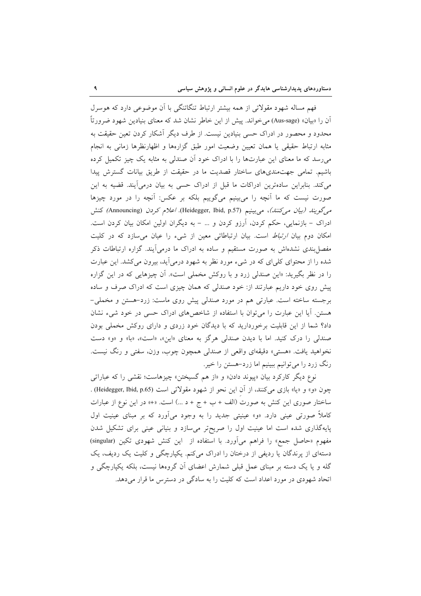فهم مساله شهود مقولاتی از همه بیشتر ارتباط تنگاتنگی با آن موضوعی دارد که هوسرل أن را «بيان» (Aus-sage) مي خواند. پيش از اين خاطر نشان شد كه معناي بنيادين شهود ضرورتاً محدود و محصور در ادراک حسی بنیادین نیست. از طرف دیگر آشکار کردن تعین حقیقت به مثابه ارتباط حقیقی یا همان تعیین وضعیت امور طبق گزارهها و اظهارنظرها زمانی به انجام می رسد که ما معنای این عبارتها را با ادراک خود آن صندلی به مثابه یک چیز تکمیل کرده باشیم. تمامی جهت مندی های ساختار قصدیت ما در حقیقت از طریق بیانات گسترش پیدا می کند. بنابراین سادهترین ادراکات ما قبل از ادراک حسی به بیان درمی آیند. قضیه به این صورت نیست که ما آنچه را میبینیم میگوییم بلکه بر عکس: آنچه را در مورد چیزها میگویند (بیان میکنند)، میبینیم (Heidegger, Ibid, p.57). اعلام کردن (Announcing) کنش ادراک – بازنمایی، حکم کردن، آرزو کردن و … – به دیگران اولین امکان بیان کردن است. امکان دوم بیان *ارتباط* است. بیان ارتباطاتی معین از شیء را عیان می سازد که در کلیت مفصل بندی نشدهاش به صورت مستقیم و ساده به ادراک ما درمی[یند. گزاره ارتباطات ذکر شده را از محتوای کلیای که در شیء مورد نظر به شهود درمیآید، بیرون میکشد. این عبارت را در نظر بگیرید: «این صندلی زرد و با روکش مخملی است». اَن چیزهایی که در این گزاره پیش روی خود داریم عبارتند از: خود صندلی که همان چیزی است که ادراک صرف و ساده برجسته ساخته است. عبارتی هم در مورد صندلی پیش روی ماست: زرد-هستن و مخملی-هستن. آیا این عبارت را میتوان با استفاده از شاخصهای ادراک حسی در خود شیء نشان داد؟ شما از این قابلیت برخوردارید که با دیدگان خود زردی و دارای روکش مخملی بودن صندلی را درک کنید. اما با دیدن صندلی هرگز به معنای «این»، «است»، «با» و «و» دست نخواهید یافت. «هستی» دقیقهای واقعی از صندلی همچون چوب، وزن، سفتی و رنگ نیست. رنگ زرد را می توانیم ببینیم اما زرد-هستن را خیر.

نوع ديگر كاركرد بيان «پيوند دادن« و «از هم گسيختن» چيزهاست؛ نقشي را كه عباراتي چون «و» و «یا» بازی میکنند، از آن این نحو از شهود مقولاتی است (Heidegger, Ibid, p.65) . ساختار صوري اين كنش به صورت (الف + ب + ج + د ...) است. «+» در اين نوع از عبارات کاملاً صورتی عینی دارد. «و» عینیتی جدید را به وجود میآورد که بر مبنای عینیت اول پایهگذاری شده است اما عینیت اول را صریحتر میسازد و بنیانی عینی برای تشکیل شدن مفهوم «حاصل جمع» را فراهم میآورد. با استفاده از این کنش شهودی تکین (singular) دستهای از پرندگان یا ردیفی از درختان را ادراک میکنم. یکپارچگی و کلیت یک ردیف، یک گله و یا یک دسته بر مبنای عمل قبلی شمارش اعضای آن گروهها نیست، بلکه یکپارچگی و اتحاد شهودي در مورد اعداد است كه كليت را به سادگي در دسترس ما قرار مي دهد.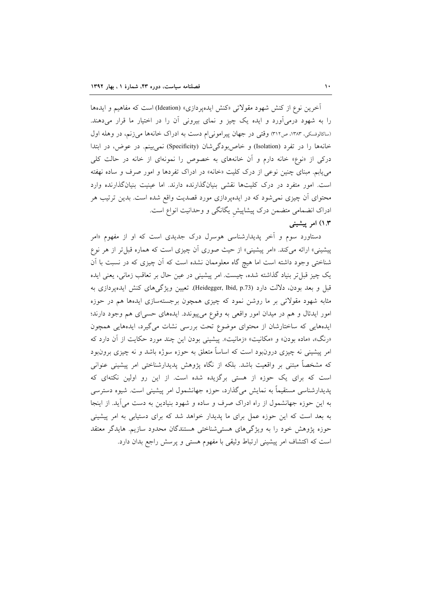آخرین نوع از کنش شهود مقولاتی «کنش ایدهپردازی» (Ideation) است که مفاهیم و ایدهها را به شهود درمی[ورد و ایده یک چیز و نمای بیرونی آن را در اختیار ما قرار میدهند. (ساکالوفسکی، ۱۳۸۳، ص۳۱۲) وقتی در جهان پیرامونی[م دست به ادراک خانهها می زنم، در وهله اول خانهها را در تفرد (Isolation) و خاص بودگی شان (Specificity) نمی بینم. در عوض، در ابتدا درکی از «نوع» خانه دارم و آن خانههای به خصوص را نمونهای از خانه در حالت کلی می یابم. مبنای چنین نوعی از درک کلیت «خانه» در ادراک تفردها و امور صرف و ساده نهفته است. امور متفرد در درک کلیتها نقشی بنیانگذارنده دارند. اما عینیت بنیانگذارنده وارد محتوای آن چیزی نمی شود که در ایدهپردازی مورد قصدیت واقع شده است. بدین ترتیب هر ادراک انضمامی متضمن درک پیشاپیش یگانگی و وحدانیت انواع است.

# ۱.۳) امر پیشینی

دستاورد سوم و اَخر پدیدارشناسی هوسرل درک جدیدی است که او از مفهوم «امر پیشینی» ارائه میکند. «امر پیشینی» از حیث صوری أن چیزی است که هماره قبل تر از هر نوع شناختی وجود داشته است اما هیچ گاه معلوممان نشده است که اَن چیزی که در نسبت با اَن یک چیز قبل تر بنیاد گذاشته شده، چیست. امر پیشینی در عین حال بر تعاقب زمانی، یعنی ایده قبل و بعد بودن، دلالت دارد (Heidegger, Ibid, p.73). تعیین ویژگی های کنش ایدهیردازی به مثابه شهود مقولاتی بر ما روشن نمود که چیزی همچون برجستهسازی ایدهها هم در حوزه امور ایدئال و هم در میدان امور واقعی به وقوع میپیوندد. ایدههای حسی|ی هم وجود دارند؛ ایدههایی که ساختارشان از محتوای موضوع تحت بررسی نشات میگیرد، ایدههایی همچون «رنگ»، «ماده بودن» و «مکانیت» «زمانیت». پیشینی بودن این چند مورد حکایت از آن دارد که امر پیشینی نه چیزی درونٖبود است که اساساً متعلق به حوزه سوژه باشد و نه چیزی برونٖبود که مشخصاً مبتنی بر واقعیت باشد. بلکه از نگاه پژوهش پدیدارشناختی امر پیشینی عنوانی است که برای یک حوزه از هستی برگزیده شده است. از این رو اولین نکتهای که یدیدارشناسی مستقیماً به نمایش میگذارد، حوزه جهانشمول امر پیشینی است. شیوه دسترسی به این حوزه جهانشمول از راه ادراک صرف و ساده و شهود بنیادین به دست میآید. از اینجا به بعد است که این حوزه عمل برای ما پدیدار خواهد شد که برای دستیابی به امر پیشینی حوزه پژوهش خود را به ویژگیهای هستیشناختی هستندگان محدود سازیم. هایدگر معتقد است که اکتشاف امر پیشینی ارتباط وثیقی با مفهوم هستی و پرسش راجع بدان دارد.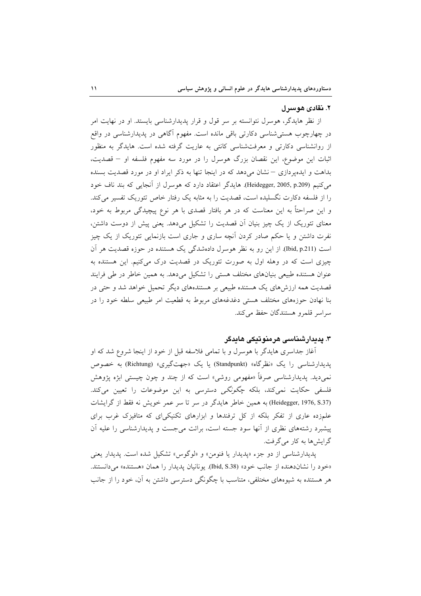## ۲. نقادی هوسرل

از نظر هایدگر، هوسرل نتوانسته بر سر قول و قرار پدیدارشناسی بایستد. او در نهایت امر در چهارچوب هستیشناسی دکارتی باقی مانده است. مفهوم آگاهی در پدیدارشناسی در واقع از روانشناسی دکارتی و معرفتشناسی کانتی به عاریت گرفته شده است. هایدگر به منظور اثبات این موضوع، این نقصان بزرگ هوسرل را در مورد سه مفهوم فلسفه او – قصدیت، بداهت و ایدهپردازی – نشان می دهد که در اینجا تنها به ذکر ایراد او در مورد قصدیت بسنده می کنیم (Heidegger, 2005, p.209). هایدگر اعتقاد دارد که هوسرل از آنجایی که بند ناف خود را از فلسفه دکارت نگسلیده است، قصدیت را به مثابه یک رفتار خاص تئوریک تفسیر می کند. و این صراحتاً به این معناست که در هر بافتار قصدی با هر نوع پیچیدگی مربوط به خود، معنای تئوریک از یک چیز بنیان اّن قصدیت را تشکیل میدهد. یعنی پیش از دوست داشتن، نفرت داشتن و یا حکم صادر کردن آنچه ساری و جاری است بازنمایی تئوریک از یک چیز است (Ibid, p.211). از این رو به نظر هوسرل دادهشدگی یک هستنده در حوزه قصدیت هر آن چیزی است که در وهله اول به صورت تئوریک در قصدیت درک میکنیم. این هستنده به عنوان هستنده طبیعی بنیانهای مختلف هستی را تشکیل می دهد. به همین خاطر در طی فرایند قصدیت همه ارزش۵ای یک هستنده طبیعی بر هستندههای دیگر تحمیل خواهد شد و حتی در بنا نهادن حوزههای مختلف هستی دغدغههای مربوط به قطعیت امر طبیعی سلطه خود را در سراسر قلمرو هستندگان حفظ می کند.

# ۳. پدیدارشناسی هرمنوتیکی هایدگر

أغاز جداسری هایدگر با هوسرل و با تمامی فلاسفه قبل از خود از اینجا شروع شد که او پدیدارشناسی را یک «نظرگاه» (Standpunkt) یا یک «جهتگیری» (Richtung) به خصوص نمي،ديد. يديدارشناسي صرفاً «مفهومي روشي» است كه از چند و چون چيستي ابژه يژوهش فلسفی حکایت نمیکند، بلکه *چگونگی* دسترسی به این موضوعات را تعیین میکند. (Heidegger, 1976, S.37) به همین خاطر هایدگر در سر تا سر عمر خویش نه فقط از گرایشات علمزده عاری از تفکر بلکه از کل ترفندها و ابزارهای تکنیکیای که متافیزک غرب برای پیشبرد رشتههای نظری از آنها سود جسته است، برائت می جست و پدیدارشناسی را علیه آن گرایش ها به کار می گرفت.

يديدارشناسي از دو جزء «يديدار يا فنومن» و «لوگوس» تشكيل شده است. يديدار يعني «خود را نشاندهنده از جانب خود» (Ibid, S.38). يونانيان يديدار را همان «هستنده» مي دانستند. هر هستنده به شیوههای مختلفی، متناسب با چگونگی دسترسی داشتن به آن، خود را از جانب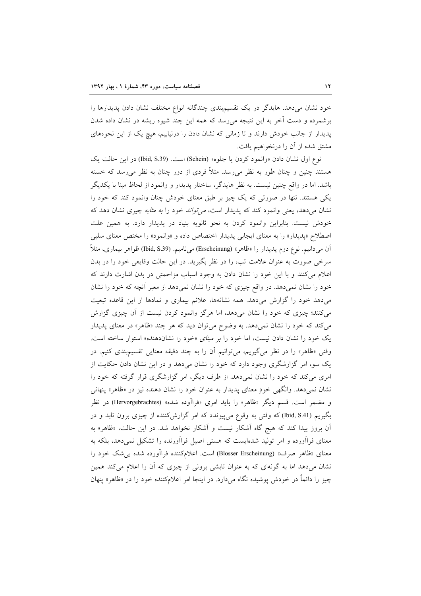خود نشان میدهد. هایدگر در یک تقسیمبندی چندگانه انواع مختلف نشان دادن پدیدارها را برشمرده و دست آخر به این نتیجه میرسد که همه این چند شیوه ریشه در نشان داده شدن پدیدار از جانب خودش دارند و تا زمانی که نشان دادن را درنیابیم، هیچ یک از این نحوههای مشتق شده از آن را درنخواهیم یافت.

نوع اول نشان دادن «وانمود كردن يا جلوه» (Schein) است. (Ibid, S.39) در اين حالت يك هستند چنین و چنان طور به نظر می٫رسد. مثلاً فردی از دور چنان به نظر می٫رسد که خسته باشد. اما در واقع چنین نیست. به نظر هایدگر، ساختار پدیدار و وانمود از لحاظ مبنا با یکدیگر یکی هستند. تنها در صورتی که یک چیز بر طبق معنای خودش چنان وانمود کند که خود را نشان میدهد، یعنی وانمود کند که پدیدار است، *می تواند خو*د را *به مثابه* چیزی نشان دهد که خودش نیست. بنابراین وانمود کردن به نحو ثانویه بنیاد در پدیدار دارد. به همین علت اصطلاح «پدیدار» را به معنای ایجابی پدیدار اختصاص داده و «وانمود» را مختص معنای سلبی اّن میدانیم. نوع دوم پدیدار را «ظاهر» (Erscheinung) میbid, S.39) هواهر بیماری، مثلاً سرخی صورت به عنوان علامت تب، را در نظر بگیرید. در این حالت وقایعی خود را در بدن اعلام می کنند و با این خود را نشان دادن به وجود اسباب مزاحمتی در بدن اشارت دارند که خود را نشان نمیدهد. در واقع چیزی که خود را نشان نمیدهد از معبر أنچه که خود را نشان میدهد خود را گزارش میدهد. همه نشانهها، علائم بیماری و نمادها از این قاعده تبعیت می کنند؛ چیزی که خود را نشان میدهد، اما هرگز وانمود کردن نیست از آن چیزی گزارش می کند که خود را نشان نمیدهد. به وضوح میتوان دید که هر چند «ظاهر» در معنای پدیدار یک خود را نشان دادن نیست، اما خود را *بر مبنای «خود را نشان*دهنده» استوار ساخته است. وقتی «ظاهر» را در نظر میگیریم، میتوانیم أن را به چند دقیقه معنایی تقسیمبندی کنیم. در یک سو، امر گزارشگری وجود دارد که خود را نشان میدهد و در این نشان دادن حکایت از امری می کند که خود را نشان نمی دهد. از طرف دیگر، امر گزارشگری قرار گرفته که خود را نشان نمیدهد. وانگهی خودِ معنای پدیدار به عنوان خود را نشان دهنده نیز در «ظاهر» پنهانی و مضمر است. قسم دیگر «ظاهر» را باید امری «فراآوده شده» (Hervorgebrachtes) در نظر بگیریم (Ibid, S.41) که وقتی به وقوع می پیوندد که امر گزارش کننده از چیزی برون تابد و در آن بروز پیدا کند که هیچ گاه آشکار نیست و آشکار نخواهد شد. در این حالت، «ظاهر» به معنای فراآورده و امر تولید شدهایست که هستی اصیل فراآورنده را تشکیل نمیدهد، بلکه به معنای «ظاهر صرف» (Blosser Erscheinung) است. اعلام کننده فراآورده شده بی شک خود را نشان میدهد اما به گونهای که به عنوان تابشی برونی از چیزی که آن را اعلام میکند همین چیز را دائماً در خودش پوشیده نگاه میدارد. در اینجا امر اعلامکننده خود را در «ظاهر» پنهان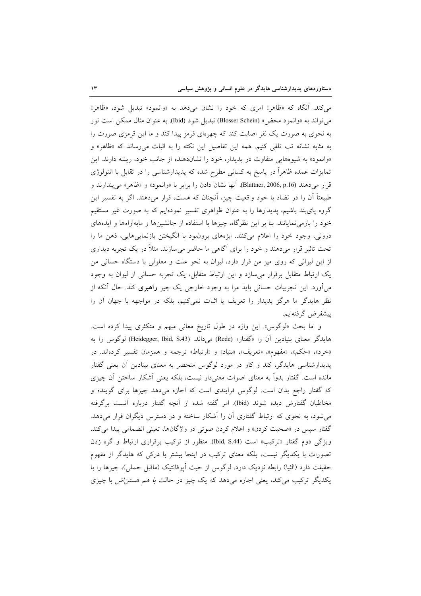می کند. آنگاه که «ظاهر» امری که خود را نشان میدهد به «وانمود» تبدیل شود، «ظاهر» مي تواند به «وانمود محض» (Blosser Schein) تبديل شود (Ibid). به عنوان مثال ممكن است نور به نحوی به صورت یک نفر اصابت کند که چهرهای قرمز پیدا کند و ما این قرمزی صورت را به مثابه نشانه تب تلقى كنيم. همه اين تفاصيل اين نكته را به اثبات مى رساند كه «ظاهر» و «وانمود» به شیوههایی متفاوت در پدیدار، خود را نشاندهنده از جانب خود، ریشه دارند. این تمایزات عمده ظاهراً در پاسخ به کسانی مطرح شده که پدیدارشناسی را در تقابل با انتولوژی قرار میدهند (Blattner, 2006, p.16). آنها نشان دادن را برابر با «وانمود» و «ظاهر» می پندارند و طبیعتاً آن را در تضاد با خود واقعیت چیز، آنچنان که هست، قرار میدهند. اگر به تفسیر این گروه پایبند باشیم، پدیدارها را به عنوان ظواهری تفسیر نمودهایم که به صورت غیر مستقیم خود را بازمی نمایانند. بنا بر این نظرِگاه، چیزها با استفاده از جانشینها و مابهازاءها و ایدههای دروني، وجود خود را اعلام مي كنند. ابژههاي برونبود با انگيختن بازنمايي هايي، ذهن ما را تحت تاثیر قرار میدهند و خود را برای آگاهی ما حاضر میسازند. مثلاً در یک تجربه دیداری از این لیوانی که روی میز من قرار دارد، لیوان به نحو علت و معلولی با دستگاه حسانی من یک ارتباط متقابل برقرار می سازد و این ارتباط متقابل، یک تجربه حسانی از لیوان به وجود میأورد. این تجربیات حسانی باید مرا به وجود خارجی یک چیز **راهبری** کند. حال أنکه از نظر هایدگر ما هرگز پدیدار را تعریف یا اثبات نمیکنیم، بلکه در مواجهه با جهان آن را پيشفرض گرفتهايم.

و اما بحث «لوگوس». این واژه در طول تاریخ معانی مبهم و متکثری پیدا کرده است. هایدگر معنای بنیادین آن را «گفتار» (Rede) میداند. (Heidegger, Ibid, S.43) لوگوس را به «خرد»، «حکم»، «مفهوم»، «تعریف»، «بنیاد» و «ارتباط» ترجمه و همزمان تفسیر کردهاند. در پدیدارشناسی هایدگر، کند و کاو در مورد لوگوس منحصر به معنای بینادین اّن یعنی گفتار مانده است. گفتار بدواً به معنای اصوات معنیدار نیست، بلکه یعنی آشکار ساختن آن چیزی که گفتار راجع بدان است. لوگوس فرایندی است که اجازه میدهد چیزها برای گوینده و مخاطبان گفتارش دیده شوند (Ibid). امر گفته شده از آنچه گفتار درباره آنست برگرفته میشود، به نحوی که ارتباط گفتاری آن را آشکار ساخته و در دسترس دیگران قرار می دهد. گفتار سپس در «صحبت کردن» و اعلام کردن صوتی در واژگانها، تعینی انضمامی پیدا می کند. ویژگی دوم گفتار «ترکیب» است (Ibid, S.44). منظور از ترکیب برقراری ارتباط و گره زدن تصورات با یکدیگر نیست، بلکه معنای ترکیب در اینجا بیشتر با درکی که هایدگر از مفهوم حقيقت دارد (الثيا) رابطه نزديک دارد. لوگوس از حيث آيوفانتيک (ماقبل حملي)، چيزها را با یکدیگر ترکیب میکند، یعنی اجازه میدهد که یک چیز در حالت *با هم هستن اش* با چیزی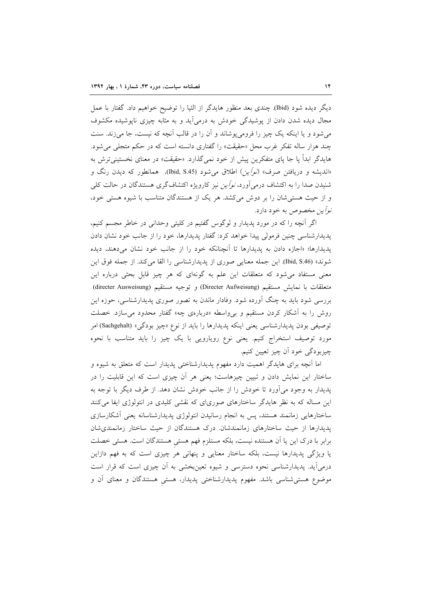دیگر دیده شود (Ibid) چندی بعد منظور هایدگر از الثیا را توضیح خواهیم داد. گفتار با عمل مجال دیده شدن دادن از پوشیدگی خودش به درمیآید و به مثابه چیزی ناپوشیده مکشوف می شود و یا اینکه یک چیز را فرومی پوشاند و آن را در قالب آنچه که نیست، جا می زند. سنت چند هزار ساله تفکر غرب محل «حقیقت» را گفتاری دانسته است که در حکم متجل<sub>ی</sub> می شود. هایدگر ابداً یا جا پای متفکرین پیش از خود نمی گذارد. «حقیقت» در معنای نخستینی ترش به «اندیشه و دریافتن صرف» *(نوآین)* اطلاق میشود (Ibid, S.45). همانطور که دیدن رنگ و شنیدن صدا را به اکتشاف درمی آورد، *نوآین* نیز کارویژه اکتشافگری هستندگان در حالت کل<sub>ی</sub> و از حیث هستی شان را بر دوش می کشد. هر یک از هستندگان متناسب با شیوه هستی خود، *نوأين مخصوص* به خود دارد.

اگر آنچه را که در مورد پدیدار و لوگوس گفتیم در کلیتی وحدانی در خاطر مجسم کنیم، یدیدارشناسی چنین فرمولی پیدا خواهد کرد: گفتار پدیدارها، خود را از جانب خود نشان دادن پدیدارها؛ «اجازه دادن به پدیدارها تا اَنچنانکه خود را از جانب خود نشان میدهند، دیده شوند» (Ibid, S.46). این جمله معنایی صوری از پدیدارشناسی را القا میکند. از جمله فوق این معنی مستفاد میشود که متعلقات این علم به گونهای که هر چیز قابل بحثی درباره این متعلقات با نمايش مستقيم (Directer Aufweisung) و توجيه مستقيم (directer Ausweisung) بررسی شود باید به چنگ آورده شود. وفادار ماندن به تصور صوری پدیدارشناسی، حوزه این روش را به أشکار کردن مستقیم و برواسطه «دربارهی چه» گفتار محدود میسازد. خصلت توصیفی بودن پدیدارشناسی یعنی اینکه پدیدارها را باید از نوع «چیز بودگی» (Sachgehalt) امر مورد توصیف استخراج کنیم. یعنی نوع رویارویی با یک چیز را باید متناسب با نحوه چيزبودگي خود اُن چيز تعيين کنيم.

اما آنچه برای هایدگر اهمیت دارد مفهوم پدیدارشناختی پدیدار است که متعلق به شیوه و ساختار این نمایش دادن و تبیین چیزهاست؛ یعنی هر آن چیزی است که این قابلیت را در پدیدار به وجود میٍ اَورد تا خودش را از جانب خودش نشان دهد. از طرف دیگر با توجه به این مساله که به نظر هایدگر ساختارهای صوریای که نقشی کلیدی در انتولوژی ایفا میکنند ساختارهایی زمانمند هستند، پس به انجام رسانیدن انتولوژی پدیدارشناسانه یعنی أشکارسازی یدیدارها از حیث ساختارهای زمانمندشان. درک هستندگان از حیث ساختار زمانمندی شان برابر با درک این یا آن هستنده نیست، بلکه مستلزم فهم هستی هستندگان است. هستی خصلت یا ویژگی پدیدارها نیست، بلکه ساختار معنایی و پنهانی هر چیزی است که به فهم دازاین درمیآید. پدیدارشناسی نحوه دسترسی و شیوه تعینبخشی به آن چیزی است که قرار است موضوع هستی شناسی باشد. مفهوم پدیدارشناختی پدیدار، هستی هستندگان و معنای آن و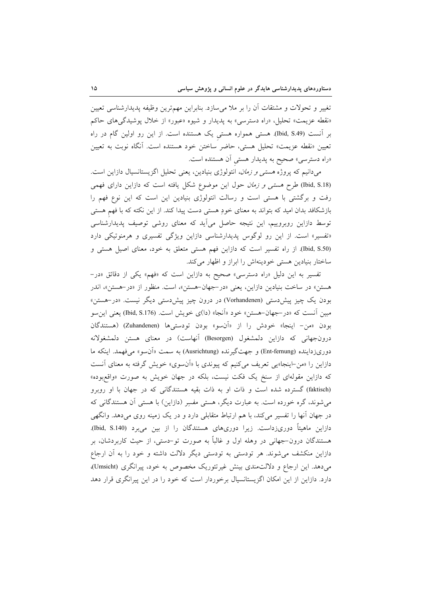تغيير و تحولات و مشتقات أن را بر ملا مىسازد. بنابراين مهمترين وظيفه پديدارشناسي تعيين «نقطه عزیمت» تحلیل، «راه دسترسی» به پدیدار و شیوه «عبور» از خلال پوشیدگی های حاکم بر أنست (Ibid, S.49). هستی همواره هستی یک هستنده است. از این رو اولین گام در راه تعیین «نقطه عزیمت» تحلیل هستی، حاضر ساختن خود هستنده است. آنگاه نوبت به تعیین «راه دسترسی» صحیح به پدیدار هستی آن هستنده است.

میدانیم که پروژه *هستی و زمان،* انتولوژی بنیادین، یعنی تحلیل اگزیستانسیال دازاین است. (Ibid, S.18) طرح هستر و زم*ان* حول این موضوع شکل یافته است که دازاین دارای فهمی رفت و برگشتی با هستی است و رسالت انتولوژی بنیادین این است که این نوع فهم را بازشکافد بدان امید که بتواند به معنای خودِ هستی دست پیدا کند. از این نکته که با فهم هستی توسط دازاین روبروییم، این نتیجه حاصل میآید که معنای روشی توصیف پدیدارشناسی «تفسیر» است. از این رو لوگوس پدیدارشناسی دازاین ویژگی تفسیری و هرمنوتیکی دارد (Ibid, S.50). از راه تفسیر است که دازاین فهم هستی متعلق به خود، معنای اصیل هستی و ساختار بنیادین هستی خودینهاش را ابراز و اظهار می کند.

تفسیر به این دلیل «راه دسترسی» صحیح به دازاین است که «فهم» یکی از دقائق «در-هستن» در ساخت بنیادین دازاین، یعنی «در-جهان-هستن»، است. منظور از «در-هستن»، اندر بودن یک چیز پیش،دستی (Vorhandenen) در درون چیز پیش،دستی دیگر نیست. «در–هستن» مبین أنست که «در–جهان–هستن» خود «اَنجا» (دا)ی خویش است. (Ibid, S.176) یعنی این و بودن «من- اينجا» خودش را از «اَنسو» بودن تودستیها (Zuhandenen) (هستندگان درونجهانی که دازاین دلمشغول (Besorgen) آنهاست) در معنای هستن دلمشغولانه دوریزداینده (Ent-fernung) و جهتگیرنده (Ausrichtung) به سمت «آن و» میفهمد. اینکه ما دازاین را «من-اینجا»یی تعریف می کنیم که پیوندی با «آن سوی» خویش گرفته به معنای آنست که دازاین مقولهای از سنخ یک فکت نیست، بلکه در جهان خویش به صورت «واقعبوده» (faktisch) گسترده شده است و ذات او به ذات بقیه هستندگانی که در جهان با او روبرو می شوند، گره خورده است. به عبارت دیگر، هستی مفسِر (دازاین) با هستی آن هستندگانی که در جهان آنها را تفسیر میکند، با هم ارتباط متقابلی دارد و در یک زمینه روی میدهد. وانگهی دازاین ماهیتاً دوریزداست. زیرا دوریهای هستندگان را از بین میبرد (Ibid, S.140). هستندگان درون–جهانی در وهله اول و غالباً به صورت تو–دستی، از حیث کاربردشان، بر دازاین منکشف می شوند. هر تودستی به تودستی دیگر دلالت داشته و خود را به آن ارجاع می دهد. این ارجاع و دلالت مندی بینش غیرتئوریک مخصوص به خود، پیرانگری (Umsicht)، دارد. دازاین از این امکان اگزیستانسیال برخوردار است که خود را در این پیرانگری قرار دهد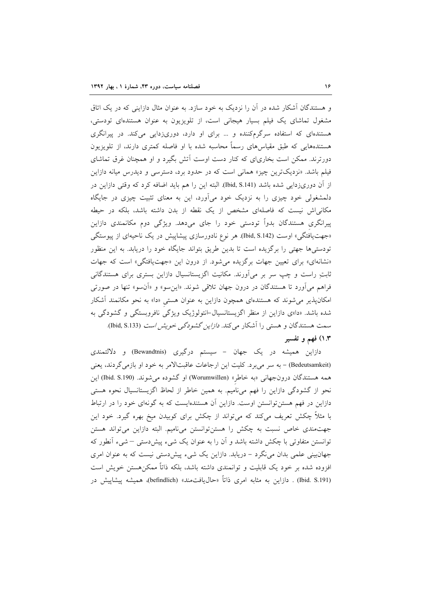و هستندگان آشکار شده در آن را نزدیک به خود سازد. به عنوان مثال دازاینی که در یک اتاق مشغول تماشای یک فیلم بسیار هیجانی است، از تلویزیون به عنوان هستندهای تودستی، هستندهای که استفاده سرگرمکننده و ... برای او دارد، دوریزدایی میکند. در پیرانگری هستندههایی که طبق مقیاسهای رسماً محاسبه شده با او فاصله کمتری دارند، از تلویزیون دورترند. ممکن است بخاریای که کنار دست اوست آتش بگیرد و او همچنان غرق تماشای فیلم باشد. «نزدیکترین چیز» همانی است که در حدود برد، دسترسی و دیدرس میانه دازاین از آن دوریزدایی شده باشد (Ibid, S.141). البته این را هم باید اضافه کرد که وقتی دازاین در دلمشغولی خود چیزی را به نزدیک خود میآورد، این به معنای تثبیت چیزی در جایگاه مکانیاش نیست که فاصلهای مشخص از یک نقطه از بدن داشته باشد، بلکه در حیطه پیرانگری هستندگان بدواً تودستی خود را جای میدهد. ویژگی دوم مکانمندی دازاین «جهت یافتگی» اوست (Ibid, S.142) هر نوع نادورسازی پیشاپیش در یک ناحیهای از پیوستگی تودستیها جهتی را برگزیده است تا بدین طریق بتواند جایگاه خود را دریابد. به این منظور «نشانهای» برای تعیین جهات برگزیده می شود. از درون این «جهت یافتگی» است که جهات ثابتِ راست و چپ سر بر میآورند. مکانیت اگزیستانسیال دازاین بستری برای هستندگانی فراهم میآورد تا هستندگان در درون جهان تلاقی شوند. «این سو» و «اَن سو» تنها در صورتی امکانپذیر میشوند که هستندهای همچون دازاین به عنوان هستی «دا» به نحو مکانمند آشکار شده باشد. «دا»ی دازاین از منظر اگزیستانسیال-انتولوژیک ویژگی نافروبستگی و گشودگی به سمت هستندگان و هستی را آشکار میکند. *دازاین گشودگی خویش است* (Ibid, S.133). ۱.۳) فهم و تفسیر

دازاین همیشه در یک جهان – سیستم درگیری (Bewandtnis) و دلالتمندی (Bedeutsamkeit) - به سر میبرد. کلیت این ارجاعات عاقبتالامر به خود او بازمیگردند، یعنی همه هستندگان درونجهانی «به خاطر» (Worumwillen) او گشوده می شوند. (Ibid. S.190) این نحو از گشودگی دازاین را فهم میiامیم. به همین خاطر از لحاظ اگزیستانسیال نحوه هستی دازاین در فهم هستن توانستن اوست. دازاین آن هستندهایست که به گونهای خود را در ارتباط با مثلاً چکش تعریف میکند که میتواند از چکش برای کوبیدن میخ بهره گیرد. خود این جهتمندی خاص نسبت به چکش را هستنتوانستن می نامیم. البته دازاین می تواند هستن توانستن متفاوتی با چکش داشته باشد و آن را به عنوان یک شیء پیش(دستی – شیء آنطور که جهانبینی علمی بدان می نگرد – دریابد. دازاین یک شیء پیش دستی نیست که به عنوان امری افزوده شده بر خود یک قابلیت و توانمندی داشته باشد، بلکه ذاتاً ممکنهستن خویش است (Ibid. S.191) . دازاین به مثابه امری ذاتاً «حال،یافتمند» (befindlich)، همیشه پیشاییش در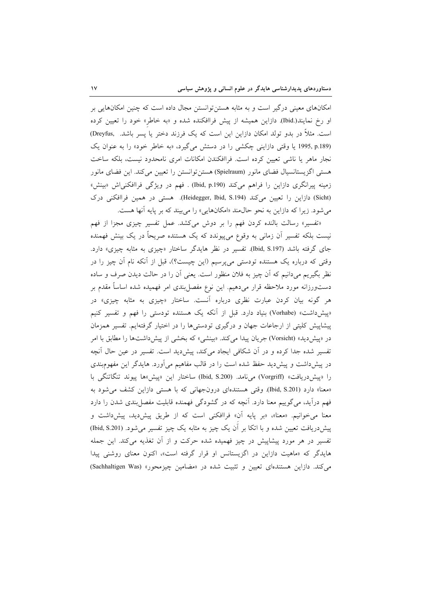امکانهای معینی درگیر است و به مثابه هستن توانستن مجال داده است که چنین امکانهایی بر او رخ نمایند(.Ibid) دازاین همیشه از پیش فراافکنده شده و «به خاطر» خود را تعیین کرده است. مثلاً در بدو تولد امکان دازاین این است که یک فرزند دختر یا پسر باشد. Dreyfus, (1995, p.189 یا وقتی دازاینی چکشی را در دستش می گیرد، «به خاطر خود» را به عنوان یک نجار ماهر یا ناشی تعیین کرده است. فراافکندن امکانات امری نامحدود نیست، بلکه ساخت هستی اگزیستانسیال فضای مانور (Spielraum) هستن توانستن را تعیین می کند. این فضای مانور زمینه پیرانگری دازاین را فراهم می کند (Ibid, p.190) . فهم در ویژگی فراافکنی اش «بینش» (Sicht) دازاین را تعیین می کند (Heidegger, Ibid, S.194). هستی در همین فراافکنی درک میشود. زیرا که دازاین به نحو حال0مند «امکانهایی» را میبیند که بر پایه آنها هست.

«تفسیر» رسالت بالنده کردن فهم را بر دوش میکشد. عمل تفسیر چیزی مجزا از فهم نیست بلکه تفسیر آن زمانی به وقوع میپیوندد که یک هستنده صریحاً در یک بینش فهمنده جای گرفته باشد (Ibid, S.197). تفسیر در نظر هایدگر ساختار «چیزی به مثابه چیزی» دارد. وقتی که درباره یک هستنده تودستی میپرسیم (این چیست؟)، قبل از آنکه نام آن چیز را در نظر بگیریم میدانیم که آن چیز به فلان منظور است. یعنی آن را در حالت دیدن صرف و ساده دستورزانه مورد ملاحظه قرار مىدهيم. اين نوع مفصلٍبندى امر فهميده شده اساساً مقدم بر هر گونه بیان کردن عبارت نظری درباره آنست. ساختار «چیزی به مثابه چیزی» در «پیشداشت» (Vorhabe) بنیاد دارد. قبل از أنکه یک هستنده تودستی را فهم و تفسیر کنیم پیشاپیش کلیتی از ارجاعات جهان و درگیری تودستیها را در اختیار گرفتهایم. تفسیر همزمان در «پیشدید» (Vorsicht) جریان پیدا می کند. «بینشی» که بخشی از پیش(داشتها را مطابق با امر تفسیر شده جدا کرده و در آن شکافی ایجاد میکند، پیشدید است. تفسیر در عین حال آنچه در پیش داشت و پیش دید حفظ شده است را در قالب مفاهیم می آورد. هایدگر این مفهومبندی را «ييش دريافت» (Vorgriff) مي نامد. (Ibid, S.200) ساختار اين «پيش»ها پيوند تنگاتنگي با «معنا» دارد (Ibid, S.201). وقتی هستندهای درونجهانی که با هستی دازاین کشف می شود به فهم درآید، میگوییم معنا دارد. آنچه که در گشودگی فهمنده قابلیت مفصل بندی شدن را دارد معنا می خوانیم. «معنا»، «بر پایه آن» فراافکنی است که از طریق پیش دید، پیش داشت و پیش دریافت تعیین شده و با اتکا بر آن یک چیز به مثابه یک چیز تفسیر می شود. (Ibid, S.201) تفسیر در هر مورد پیشاپیش در چیز فهمیده شده حرکت و از آن تغذیه میکند. این جمله هایدگر که «ماهیت دازاین در اگزیستانس او قرار گرفته است»، اکنون معنای روشنی پیدا می کند. دازاین هستندهای تعیین و تثبیت شده در «مضامین چیزمحور» (Sachhaltigen Was)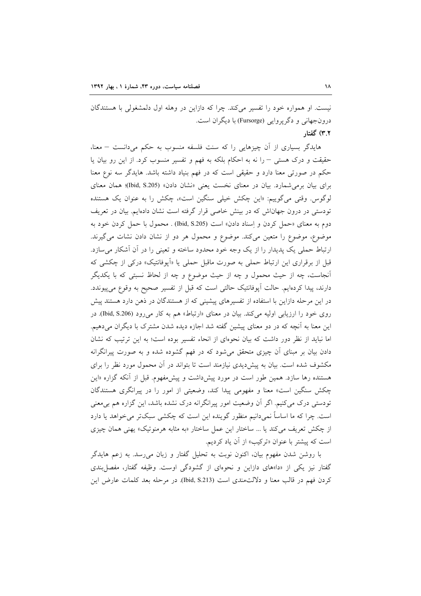نیست. او همواره خود را تفسیر میکند. چرا که دازاین در وهله اول دلمشغولی با هستندگان درونجهاني و دگر پروايي (Fursorge) با ديگران است. ۳.۲) گفتار

هایدگر بسیاری از آن چیزهایی را که سنت فلسفه منسوب به حکم میدانست – معنا، حقیقت و درک هستی - را نه به احکام بلکه به فهم و تفسیر منسوب کرد. از این رو بیان یا حکم در صورتی معنا دارد و حقیقی است که در فهم بنیاد داشته باشد. هایدگر سه نوع معنا برای بیان برمی شمارد. بیان در معنای نخست یعنی «نشان دادن» (Ibid, S.205)؛ همان معنای لوگوس. وقتی می گوییم: «این چکش خیلی سنگین است»، چکش را به عنوان یک هستنده تودستی در درون جهاناش که در بینش خاصی قرار گرفته است نشان دادهایم. بیان در تعریف دوم به معناي «حمل كردن و إسناد دادن» است (Ibid, S.205) . محمول با حمل كردن خود به موضوع، موضوع را متعین می کند. موضوع و محمول هر دو از نشان دادن نشات می گیرند. ارتباط حملی یک پدیدار را از یک وجه خود محدود ساخته و تعینی را در آن آشکار می سازد. قبل از برقراری این ارتباط حملی به صورت ماقبل حملی یا «اَپوفانتیک» درکی از چکشی که آنجاست، چه از حیث محمول و چه از حیث موضوع و چه از لحاظ نسبتی که با یکدیگر دارند، پیدا کردهایم. حالت اَپوفانتیک حالتی است که قبل از تفسیر صحیح به وقوع می پیوندد. در این مرحله دازاین با استفاده از تفسیرهای پیشینی که از هستندگان در ذهن دارد هستند پیش روی خود را ارزیابی اولیه میکند. بیان در معنای «ارتباط» هم به کار می رود (Ibid, S.206). در این معنا به آنچه که در دو معنای پیشین گفته شد اجازه دیده شدن مشترک با دیگران میدهیم. اما نباید از نظر دور داشت که بیان نحوهای از انحاء تفسیر بوده است؛ به این ترتیب که نشان دادن بیان بر مبنای آن چیزی متحقق می شود که در فهم گشوده شده و به صورت پیرانگرانه مکشوف شده است. بیان به پیشدیدی نیازمند است تا بتواند در آن محمول مورد نظر را برای هستنده رها سازد. همین طور است در مورد پیشداشت و پیش *مفهوم*. قبل از آنکه گزاره «این چکش سنگین است» معنا و مفهومی پیدا کند، وضعیتی از امور را در پیرانگری هستندگان تودستی درک میکنیم. اگر آن وضعیت امور پیرانگرانه درک نشده باشد، این گزاره هم بی معنی است. چرا که ما اساساً نمیدانیم منظور گوینده این است که چکشی سبکتر می خواهد یا دارد از چکش تعریف میکند یا … ساختار این عمل ساختار «به مثابه هرمنوتیک» یهنی همان چیزی است كه پيشتر با عنوان «تركيب» از آن ياد كرديم.

با روشن شدن مفهوم بیان، اکنون نوبت به تحلیل گفتار و زبان می رسد. به زعم هایدگر گفتار نیز یکی از «دا»های دازاین و نحوهای از گشودگی اوست. وظیفه گفتار، مفصل بندی كردن فهم در قالب معنا و دلالت¤مندي است (Ibid, S.213). در مرحله بعد كلمات عارض اين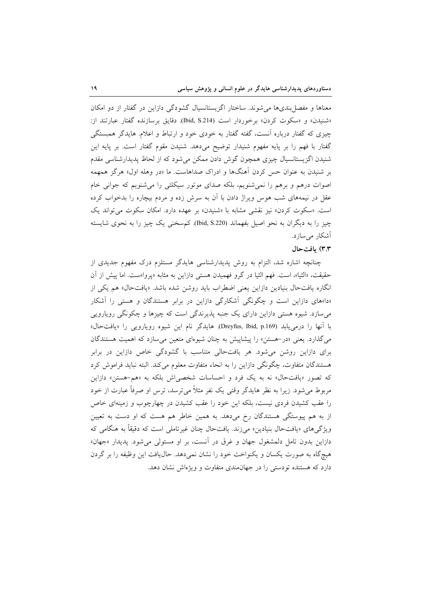معناها و مفصل بندی ها می شوند. ساختار اگزیستانسیال گشودگی دازاین در گفتار از دو امکان «شنيدن» و «سكوت كردن» برخوردار است (Ibid, S.214). دقايق برسازنده گفتار عبارتند از: چیزی که گفتار درباره آنست، گفته گفتار به خودی خود و ارتباط و اعلام. هایدگر همبستگی گفتار با فهم را بر پایه مفهوم شنیدار توضیح میدهد. شنیدن مقوم گفتار است. بر پایه این شنیدن اگزیستانسیال چیزی همچون گوش دادن ممکن می شود که از لحاظ پدیدارشناسی مقدم بر شنیدن به عنوان حس کردن آهنگها و ادراک صداهاست. ما «در وهله اول» هرگز همهمه اصوات درهم و برهم را نمی شنویم، بلکه صدای موتور سیکلتی را می شنویم که جوانی خام عقل در نیمههای شب هوس ویراژ دادن با آن به سرش زده و مردم بیچاره را بدخواب کرده است. «سکوت کردن» نیز نقشی مشابه با «شنیدن» بر عهده دارد. امکان سکوت می تواند یک چیز را به دیگران به نحو اصیل بفهماند (Ibid, S.220). کم سخنی یک چیز را به نحوی شایسته آشکار می سازد.

## ٣.٣) بافتحال

چنانچه اشاره شد، التزام به روش پدیدارشناسی هایدگر مستلزم درک مفهوم جدیدی از حقيقت، «الثيا»، است. فهم الثيا در گرو فهميدن هستي دازاين به مثابه «پروا»ست. اما پيش از آن انگاره یافتحال بنیادین دازاین یعنی اضطراب باید روشن شده باشد. «یافتحال» هم یکی از «دا»های دازاین است و چگونگی آشکارگی دازاین در برابر هستندگان و هستی را آشکار میسازد. شیوه هستی دازاین دارای یک جنبه پذیرندگی است که چیزها و چکونگی رویارویی با آنها را درمی یابد (Dreyfus, Ibid, p.169). هایدگر نام این شیوه رویارویی را «یافتحال» می گذارد. یعنی «در-هستن» را پیشاپیش به چنان شیوهای متعین می سازد که اهمیت هستندگان برای دازاین روشن میشود. هر یافتحالی متناسب با گشودگی خاص دازاین در برابر هستندگان متفاوت، چگونگی دازاین را به انحاء متفاوت معلوم میکند. البته نباید فراموش کرد که تصور «یافتحال» نه به یک فرد و احساسات شخصی اش بلکه به «هم-هستن» دازاین مربوط می شود. زیرا به نظر هایدگر وقتی یک نفر مثلاً می ترسد، ترس او صرفاً عبارت از خود را عقب کشیدن فردی نیست، بلکه این خود را عقب کشیدن در چهارچوب و زمینهای خاص از به هم پیوستگی هستندگان رخ میدهد. به همین خاطر هم هست که او دست به تعیین ویژگیهای «یافتحال بنیادین» میزند. یافتحال چنان غیرتاملی است که دقیقاً به هنگامی که دازاین بدون تامل دلمشغول جهان و غرق در آنست، بر او مستولی می شود. پدیدار «جهان» هیچگاه به صورت یکسان و یکنواخت خود را نشان نمیدهد. حال یافت این وظیفه را بر گردن دارد که هستنده تودستی را در جهانمندی متفاوت و ویژماش نشان دهد.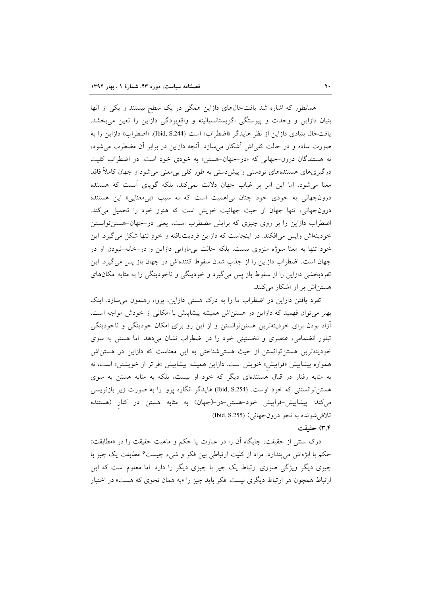همانطور که اشاره شد یافتحالهای دازاین همگی در یک سطح نیستند و یکی از آنها بنیان دازاین و وحدت و پیوستگی اگزیستانسیالیته و واقعبودگی دازاین را تعین میبخشد. يافتحال بنيادي دازاين از نظر هايدگر «اضطراب» است (Ibid, S.244). «اضطراب» دازاين را به صورت ساده و در حالت کلی!ش آشکار میسازد. آنچه دازاین در برابر آن مضطرب میشود، نه هستندگان درون-جهانی که «در-جهان-هستن» به خودی خود است. در اضطراب کلیت درگیریهای هستندههای تودستی و پیش‹ستی به طور کلی بیٖمعنی میشود و جهان کاملاً فاقد معنا می شود. اما این امر بر غیاب جهان دلالت نمی کند، بلکه گویای آنست که هستنده درونجهانی به خودی خود چنان بی اهمیت است که به سبب «بی معنایی» این هستنده درونجهانی، تنها جهان از حیث جهانیت خویش است که هنوز خود را تحمیل میکند. اضطراب دازاین را بر روی چیزی که برایش مضطرب است، یعنی در-جهان-هستن توانستن خودينهاش وايس مي افكند. در اينجاست كه دازاين فرديت يافته و خودٍ تنها شكل مي گيرد. اين خود تنها به معنا سوژه منزوی نیست، بلکه حالت بیماوایی دازاین و در-خانه-نبودن او در جهان است. اضطراب دازاین را از جذب شدن سقوط کنندهاش در جهان باز پس میگیرد. این تفردبخشی دازاین را از سقوط باز پس میگیرد و خودینگی و ناخودینگی را به مثابه امکانهای هستن|ش بر او آشکار می کنند.

تفرد یافتن دازاین در اضطراب ما را به درک هستی دازاین، پروا، رهنمون می سازد. اینک بهتر می توان فهمید که دازاین در هستن اش همیشه پیشاپیش با امکانی از خودش مواجه است. آزاد بودن برای خودینهترین هستنتوانستن و از این رو برای امکان خودینگی و ناخودینگی تبلور انضمامی، عنصری و نخستینی خود را در اضطراب نشان میدهد. اما هستن به سوی خودینهترین هستنتوانستن از حیث هستیشناختی به این معناست که دازاین در هستن|ش همواره پیشاپیش «فراپیش» خویش است. دازاین همیشه پیشاپیش «فراتر از خویشتن» است، نه به مثابه رفتار در قبال هستندهای دیگر که خود او نیست، بلکه به مثابه هستن به سوی هستنتوانستنی که خود اوست. (Ibid, S.254) هایدگر انگاره پروا را به صورت زیر بازنویسی می کند: پیشاپیش-فراپیش خود-هستن-در-(جهان) به مثابه هستن در کنار (هستنده تلاقي شونده به نحو درونجهاني) (Ibid, S.255) .

#### ۳.۴) حقیقت

درک سنتی از حقیقت، جایگاه آن را در عبارت یا حکم و ماهیت حقیقت را در «مطابقت» حکم با ابژهاش می پندارد. مراد از کلیت ارتباطی بین فکر و شیء چیست؟ مطابقت یک چیز با چیزی دیگر ویژگی صوری ارتباط یک چیز با چیزی دیگر را دارد. اما معلوم است که این ارتباط همچون هر ارتباط دیگری نیست. فکر باید چیز را «به همان نحوی که هست» در اختیار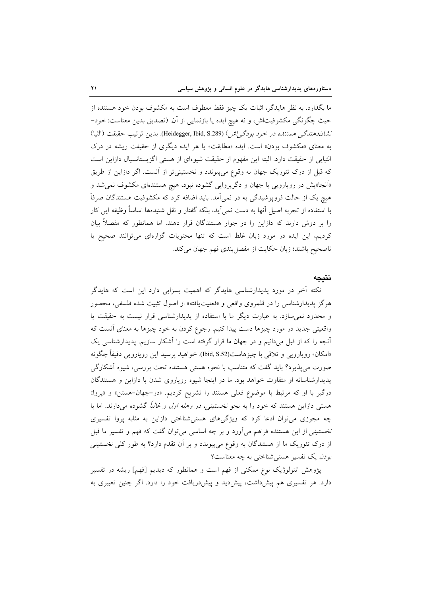ما بگذارد. به نظر هایدگر، اثبات یک چیز فقط معطوف است به مکشوف بودن خود هستنده از حيث چگونگي مکشوفيتاش، و نه هيچ ايده يا بازنمايي از آن. (تصديق بدين معناست: *خود*– نشان دهندگی هستنده در خود بودگی/ش) (Heidegger, Ibid, S.289). بدین ترتیب حقیقت (الثیا) به معنای «مکشوف بودن» است. ایده «مطابقت» یا هر ایده دیگری از حقیقت ریشه در درک الثيايي از حقيقت دارد. البته اين مفهوم از حقيقت شيوءاي از هستي اگزيستانسيال دازاين است که قبل از درک تئوریک جهان به وقوع میپیوندد و نخستینیتر از آنست. اگر دازاین از طریق «اَنجا»یش در رویارویی با جهان و دگرپروایی گشوده نبود، هیچ هستندهای مکشوف نمی شد و هیچ یک از حالت فروپوشیدگی به در نمی آمد. باید اضافه کرد که مکشوفیت هستندگان صرفاً با استفاده از تجربه اصیل آنها به دست نمی]ید، بلکه گفتار و نقل شنیدهها اساساً وظیفه این کار را بر دوش دارند که دازاین را در جوار هستندگان قرار دهند. اما همانطور که مفصلاً بیان کردیم، این ایده در مورد زبان غلط است که تنها محتویات گزارهای می توانند صحیح یا ناصحیح باشند؛ زبان حکایت از مفصل بندی فهم جهان می کند.

# نتىحە

نکته آخر در مورد پدیدارشناسی هایدگر که اهمیت بسزایی دارد این است که هایدگر هرگز پدیدارشناسی را در قلمروی واقعی و «فعلیتیافته» از اصول تثبیت شده فلسفی، محصور و محدود نمی سازد. به عبارت دیگر ما با استفاده از پدیدارشناسی قرار نیست به حقیقت یا واقعیتی جدید در مورد چیزها دست پیدا کنیم. رجوع کردن به خود چیزها به معنای آنست که آنچه را که از قبل میدانیم و در جهان ما قرار گرفته است را آشکار سازیم. پدیدارشناسی یک «امکان» رویارویی و تلاقی با چیزهاست(Ibid, S.52). خواهید پرسید این رویارویی دقیقاً چگونه صورت میپذیرد؟ باید گفت که متناسب با نحوه هستی هستنده تحت بررسی، شیوه اَشکارگی پدیدارشناسانه او متفاوت خواهد بود. ما در اینجا شیوه رویاروی شدن با دازاین و هستندگان درگیر با او که مرتبط با موضوع فعلی هستند را تشریح کردیم. «در-جهان-هستن» و «پروا» هستی دازاین هستند که خود را به نحو *نخستینی، در وهله اول و غالباً* گشوده میدارند. اما با چه مجوزی می توان ادعا کرد که ویژگیهای هستی شناختی دازاین به مثابه پروا تفسیری نخستینی از این هستنده فراهم میآورد و بر چه اساسی می توان گفت که فهم و تفسیر ما قبل از درک تئوریک ما از هستندگان به وقوع می $_2$ پیوندد و بر آن تقدم دارد؟ به طور کل*ی نخستینی* بودن یک تفسیر هستی شناختی به چه معناست؟

پژوهش انتولوژیک نوع ممکنی از فهم است و همانطور که دیدیم [فهم] ریشه در تفسیر دارد. هر تفسیری هم پیشداشت، پیشدید و پیشدریافت خود را دارد. اگر چنین تعبیری به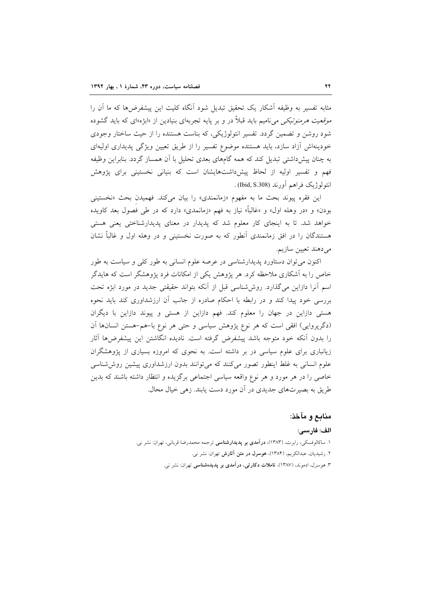مثابه تفسیر به وظیفه آشکار یک تحقیق تبدیل شود آنگاه کلیت این پیشفرضها که ما آن را م*وقعیت هرمنو تیکی می* نامیم باید قبلاً در و بر پایه تجربهای بنیادین از «ابژه»ای که باید گشوده شود روشن و تضمین گردد. تفسیر انتولوژیکی، که بناست هستنده را از حیث ساختار وجودی خودینهاش آزاد سازد، باید هستنده موضوع تفسیر را از طریق تعیین ویژگی پدیداری اولیهای به چنان پیش داشتی تبدیل کند که همه گامهای بعدی تحلیل با آن همساز گردد. بنابراین وظیفه فهم و تفسیر اولیه از لحاظ پیشداشتهایشان است که بنیانی نخستینی برای پژوهش انتولوژيک فراهم اَورند (Ibid, S.308) .

این فقره پیوند بحث ما به مفهوم «زمانمندی» را بیان میکند. فهمیدن بحث «نخستینی بودن» و «در وهله اول» و «غالباً» نیاز به فهم «زمانمدی» دارد که در طی فصول بعد کاویده خواهد شد. تا به اینجای کار معلوم شد که پدیدار در معنای پدیدارشناختی یعنی هستی هستندگان را در افق زمانمندی آنطور که به صورت نخستینی و در وهله اول و غالباً نشان مىدهند تعيين سازيم.

اکنون میتوان دستاورد پدیدارشناسی در عرصه علوم انسانی به طور کلی و سیاست به طور خاص را به آشکاری ملاحظه کرد. هر پژوهش یکی از امکانات فرد پژوهشگر است که هایدگر اسم آنرا دازاین می گذارد. روش شناسی قبل از آنکه بتواند حقیقتی جدید در مورد ابژه تحت بررسی خود پیدا کند و در رابطه با احکام صادره از جانب آن ارزشداوری کند باید نحوه هستی دازاین در جهان را معلوم کند. فهم دازاین از هستی و پیوند دازاین با دیگران (دگرپروایی) افقی است که هر نوع پژوهش سیاسی و حتی هر نوع با-هم-هستن انسانها اَن را بدون آنکه خود متوجه باشد پیشفرض گرفته است. نادیده انگاشتن این پیشفرضها آثار زیانباری برای علوم سیاسی در بر داشته است. به نحوی که امروزه بسیاری از پژوهشگران علوم انسانی به غلط اینطور تصور می کنند که می توانند بدون ارزشداوری پیشین روششناسی خاصی را در هر مورد و هر نوع واقعه سیاسی اجتماعی برگزیده و انتظار داشته باشند که بدین طریق به بصیرتهای جدیدی در آن مورد دست یابند. زهی خیال محال.

### منابع و مآخذ:

#### الف: فارسم:

۱. ساکالوفسکی، رابرت، (۱۳۸۳)، **در آمدی بر پدیدارشناسی** ترجمه محمدرضا قربانی، تهران: نشر نی. ٢. رشيديان، عبدالكريم، (١٣٨۴)، هوسرل در متن آثارش تهران: نشر ني. ۳. هوسرل، ادموند، (۱۳۸۷)، تاملات دکارتی، درآمدی بر پدیدهشناسی تهران: نشر نی.